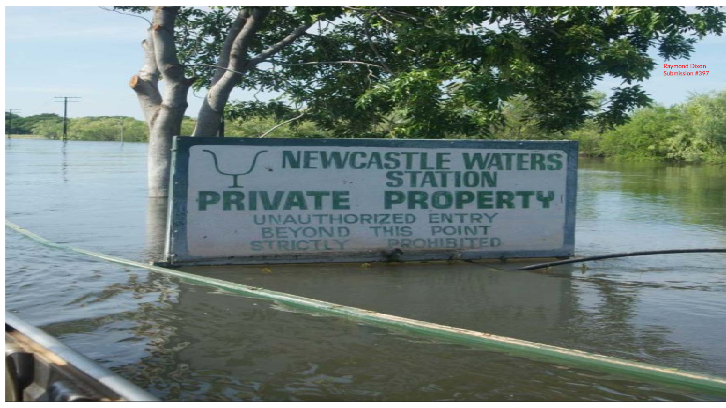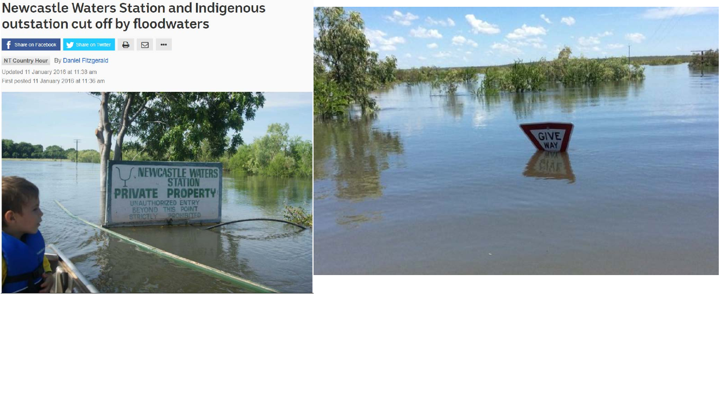**Newcastle Waters Station and Indigenous** outstation cut off by floodwaters

**f** Share on Facebook Share on Twitter  $\begin{array}{ccccc}\n\bullet & \boxtimes & \cdots\n\end{array}$ 

NT Country Hour By Daniel Fitzgerald Updated 11 January 2016 at 11:38 am First posted 11 January 2016 at 11:36 am



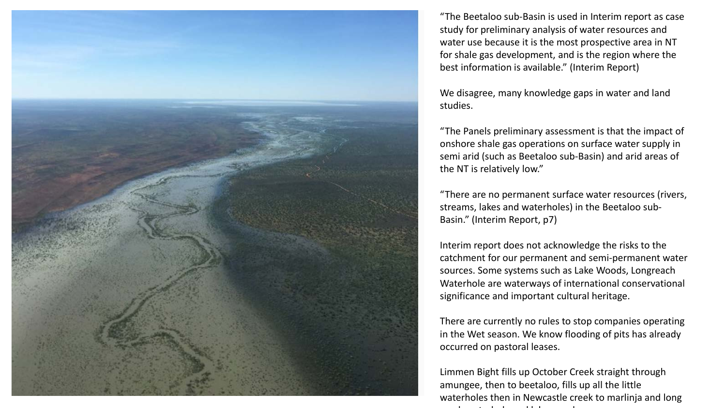

"The Beetaloo sub-Basin is used in Interim report as case study for preliminary analysis of water resources and water use because it is the most prospective area in NT for shale gas development, and is the region where the best information is available." (Interim Report)

We disagree, many knowledge gaps in water and land studies.

"The Panels preliminary assessment is that the impact of onshore shale gas operations on surface water supply in semi arid (such as Beetaloo sub-Basin) and arid areas of the NT is relatively low."

"There are no permanent surface water resources (rivers, streams, lakes and waterholes) in the Beetaloo sub-Basin." (Interim Report, p7)

Interim report does not acknowledge the risks to the catchment for our permanent and semi-permanent water sources. Some systems such as Lake Woods, Longreach Waterhole are waterways of international conservational significance and important cultural heritage.

There are currently no rules to stop companies operating in the Wet season. We know flooding of pits has already occurred on pastoral leases.

Limmen Bight fills up October Creek straight through amungee, then to beetaloo, fills up all the little waterholes then in Newcastle creek to marlinja and long h t h l d l k d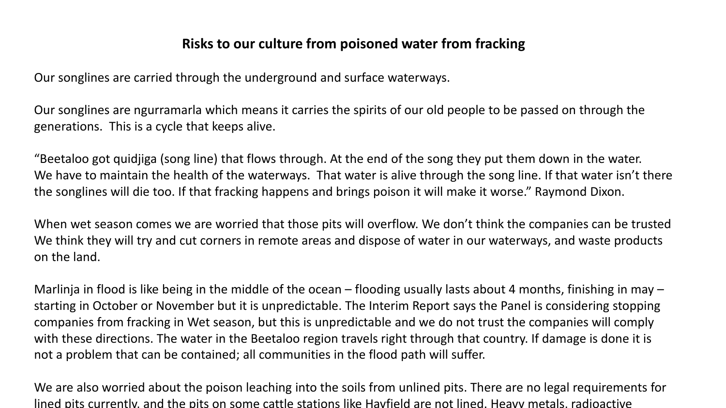## **Risks to our culture from poisoned water from fracking**

Our songlines are carried through the underground and surface waterways.

Our songlines are ngurramarla which means it carries the spirits of our old people to be passed on through the generations. This is a cycle that keeps alive.

"Beetaloo got quidjiga (song line) that flows through. At the end of the song they put them down in the water. We have to maintain the health of the waterways. That water is alive through the song line. If that water isn't there the songlines will die too. If that fracking happens and brings poison it will make it worse." Raymond Dixon.

When wet season comes we are worried that those pits will overflow. We don't think the companies can be trusted We think they will try and cut corners in remote areas and dispose of water in our waterways, and waste products on the land.

Marlinja in flood is like being in the middle of the ocean – flooding usually lasts about 4 months, finishing in may – starting in October or November but it is unpredictable. The Interim Report says the Panel is considering stopping companies from fracking in Wet season, but this is unpredictable and we do not trust the companies will comply with these directions. The water in the Beetaloo region travels right through that country. If damage is done it is not a problem that can be contained; all communities in the flood path will suffer.

We are also worried about the poison leaching into the soils from unlined pits. There are no legal requirements for lined pits currently, and the pits on some cattle stations like Hayfield are not lined. Heavy metals, radioactive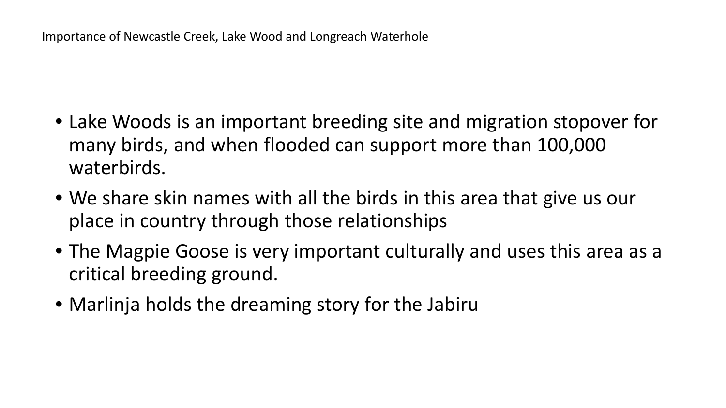- Lake Woods is an important breeding site and migration stopover for many birds, and when flooded can support more than 100,000 waterbirds.
- We share skin names with all the birds in this area that give us our place in country through those relationships
- The Magpie Goose is very important culturally and uses this area as a critical breeding ground.
- Marlinja holds the dreaming story for the Jabiru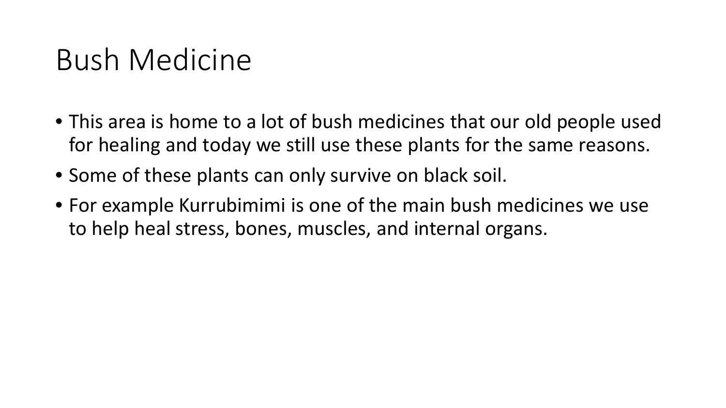## Bush Medicine

- This area is home to a lot of bush medicines that our old people used for healing and today we still use these plants for the same reasons.
- Some of these plants can only survive on black soil.
- For example Kurrubimimi is one of the main bush medicines we use to help heal stress, bones, muscles, and internal organs.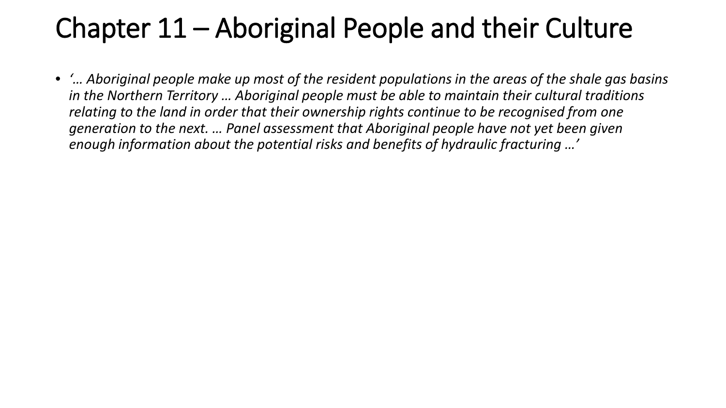## Chapter 11 – Aboriginal People and their Culture

• *'… Aboriginal people make up most of the resident populations in the areas of the shale gas basins in the Northern Territory … Aboriginal people must be able to maintain their cultural traditions relating to the land in order that their ownership rights continue to be recognised from one generation to the next. … Panel assessment that Aboriginal people have not yet been given enough information about the potential risks and benefits of hydraulic fracturing …'*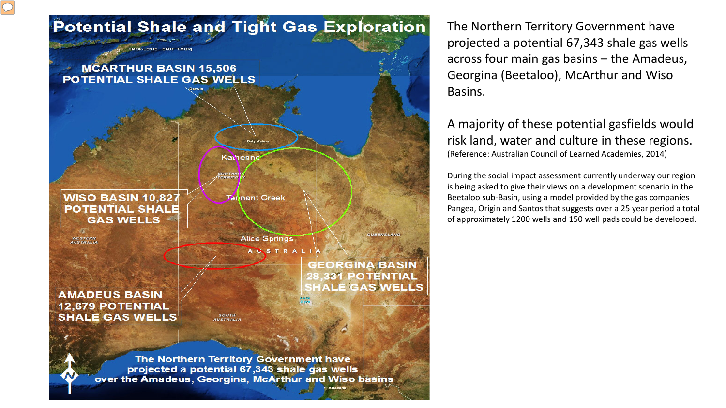

The Northern Territory Government have projected a potential 67,343 shale gas wells across four main gas basins – the Amadeus, Georgina (Beetaloo), McArthur and Wiso Basins.

A majority of these potential gasfields would risk land, water and culture in these regions. (Reference: Australian Council of Learned Academies, 2014)

During the social impact assessment currently underway our region is being asked to give their views on a development scenario in the Beetaloo sub-Basin, using a model provided by the gas companies Pangea, Origin and Santos that suggests over a 25 year period a total of approximately 1200 wells and 150 well pads could be developed.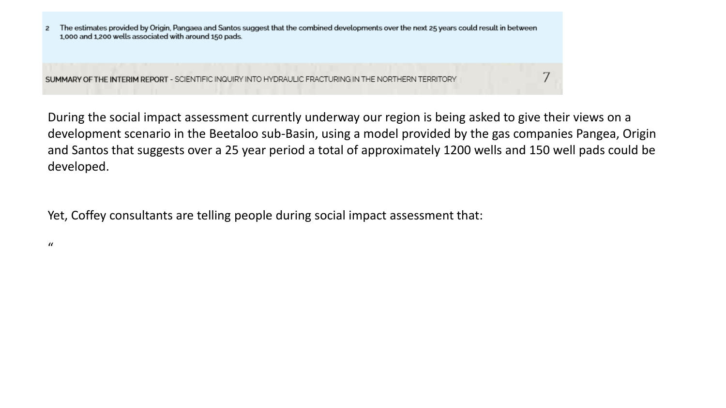

During the social impact assessment currently underway our region is being asked to give their views on a development scenario in the Beetaloo sub-Basin, using a model provided by the gas companies Pangea, Origin and Santos that suggests over a 25 year period a total of approximately 1200 wells and 150 well pads could be developed.

Yet, Coffey consultants are telling people during social impact assessment that:

 $\mathcal{U}$